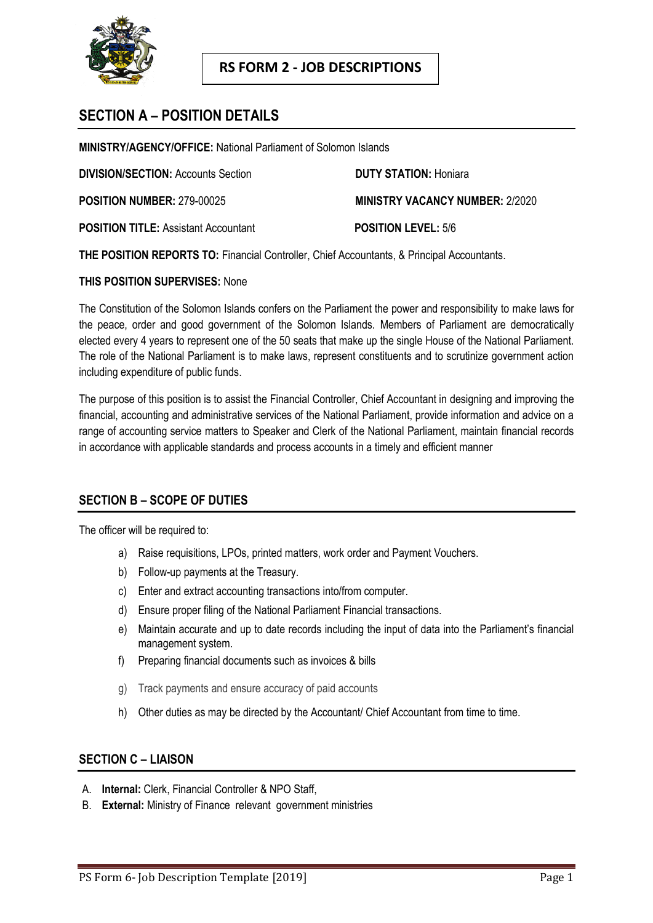

# **SECTION A – POSITION DETAILS**

**MINISTRY/AGENCY/OFFICE:** National Parliament of Solomon Islands

**DIVISION/SECTION:** Accounts Section **DUTY STATION:** Honiara

**POSITION NUMBER:** 279-00025 **MINISTRY VACANCY NUMBER:** 2/2020

**POSITION TITLE:** Assistant Accountant **POSITION LEVEL:** 5/6

**THE POSITION REPORTS TO:** Financial Controller, Chief Accountants, & Principal Accountants.

#### **THIS POSITION SUPERVISES:** None

The Constitution of the Solomon Islands confers on the Parliament the power and responsibility to make laws for the peace, order and good government of the Solomon Islands. Members of Parliament are democratically elected every 4 years to represent one of the 50 seats that make up the single House of the National Parliament. The role of the National Parliament is to make laws, represent constituents and to scrutinize government action including expenditure of public funds.

The purpose of this position is to assist the Financial Controller, Chief Accountant in designing and improving the financial, accounting and administrative services of the National Parliament, provide information and advice on a range of accounting service matters to Speaker and Clerk of the National Parliament, maintain financial records in accordance with applicable standards and process accounts in a timely and efficient manner

## **SECTION B – SCOPE OF DUTIES**

The officer will be required to:

- a) Raise requisitions, LPOs, printed matters, work order and Payment Vouchers.
- b) Follow-up payments at the Treasury.
- c) Enter and extract accounting transactions into/from computer.
- d) Ensure proper filing of the National Parliament Financial transactions.
- e) Maintain accurate and up to date records including the input of data into the Parliament's financial management system.
- f) Preparing financial documents such as invoices & bills
- g) Track payments and ensure accuracy of paid accounts
- h) Other duties as may be directed by the Accountant/ Chief Accountant from time to time.

## **SECTION C – LIAISON**

- A. **Internal:** Clerk, Financial Controller & NPO Staff,
- B. **External:** Ministry of Finance relevant government ministries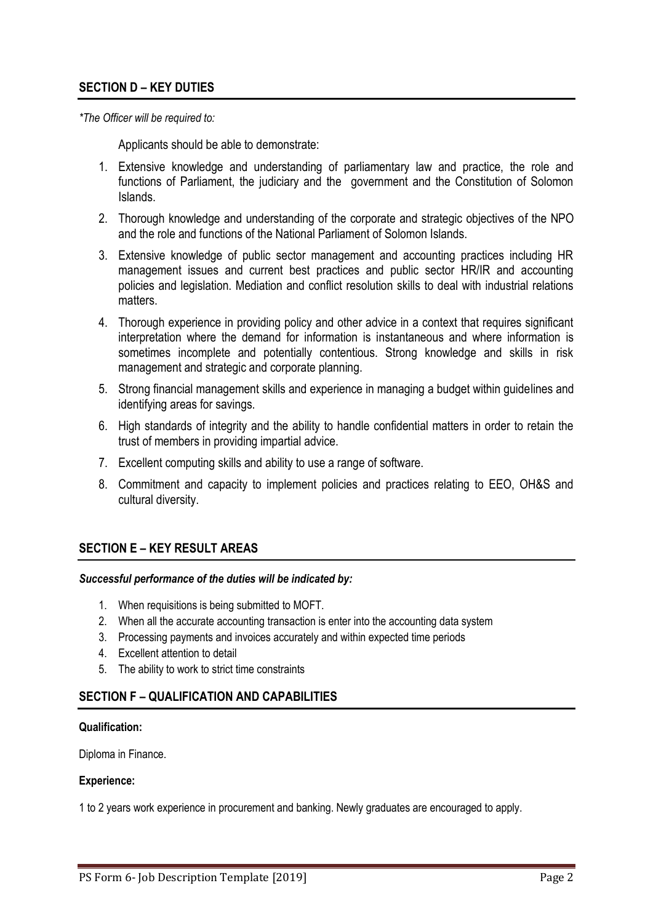## **SECTION D – KEY DUTIES**

*\*The Officer will be required to:*

Applicants should be able to demonstrate:

- 1. Extensive knowledge and understanding of parliamentary law and practice, the role and functions of Parliament, the judiciary and the government and the Constitution of Solomon Islands.
- 2. Thorough knowledge and understanding of the corporate and strategic objectives of the NPO and the role and functions of the National Parliament of Solomon Islands.
- 3. Extensive knowledge of public sector management and accounting practices including HR management issues and current best practices and public sector HR/IR and accounting policies and legislation. Mediation and conflict resolution skills to deal with industrial relations matters.
- 4. Thorough experience in providing policy and other advice in a context that requires significant interpretation where the demand for information is instantaneous and where information is sometimes incomplete and potentially contentious. Strong knowledge and skills in risk management and strategic and corporate planning.
- 5. Strong financial management skills and experience in managing a budget within guidelines and identifying areas for savings.
- 6. High standards of integrity and the ability to handle confidential matters in order to retain the trust of members in providing impartial advice.
- 7. Excellent computing skills and ability to use a range of software.
- 8. Commitment and capacity to implement policies and practices relating to EEO, OH&S and cultural diversity.

## **SECTION E – KEY RESULT AREAS**

#### *Successful performance of the duties will be indicated by:*

- 1. When requisitions is being submitted to MOFT.
- 2. When all the accurate accounting transaction is enter into the accounting data system
- 3. Processing payments and invoices accurately and within expected time periods
- 4. Excellent attention to detail
- 5. The ability to work to strict time constraints

## **SECTION F – QUALIFICATION AND CAPABILITIES**

#### **Qualification:**

Diploma in Finance.

#### **Experience:**

1 to 2 years work experience in procurement and banking. Newly graduates are encouraged to apply.